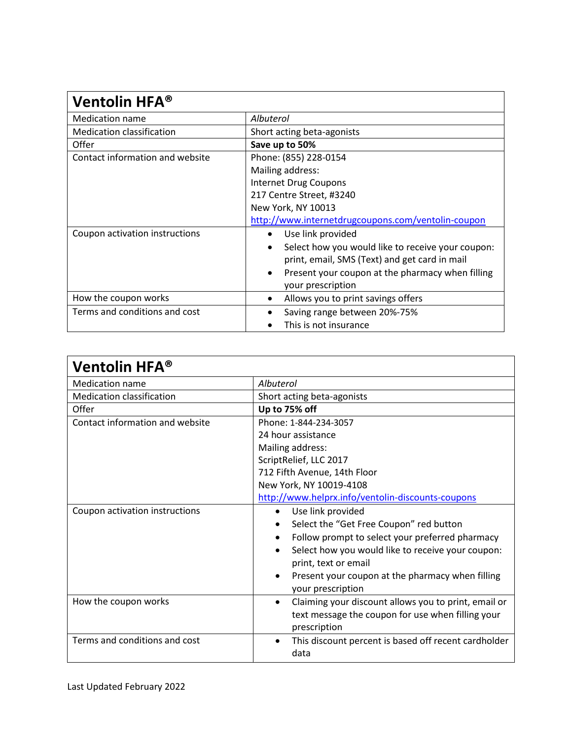| Ventolin HFA®                    |                                                                |
|----------------------------------|----------------------------------------------------------------|
| <b>Medication name</b>           | Albuterol                                                      |
| <b>Medication classification</b> | Short acting beta-agonists                                     |
| Offer                            | Save up to 50%                                                 |
| Contact information and website  | Phone: (855) 228-0154                                          |
|                                  | Mailing address:                                               |
|                                  | <b>Internet Drug Coupons</b>                                   |
|                                  | 217 Centre Street, #3240                                       |
|                                  | New York, NY 10013                                             |
|                                  | http://www.internetdrugcoupons.com/ventolin-coupon             |
| Coupon activation instructions   | Use link provided                                              |
|                                  | Select how you would like to receive your coupon:<br>$\bullet$ |
|                                  | print, email, SMS (Text) and get card in mail                  |
|                                  | Present your coupon at the pharmacy when filling<br>$\bullet$  |
|                                  | your prescription                                              |
| How the coupon works             | Allows you to print savings offers<br>$\bullet$                |
| Terms and conditions and cost    | Saving range between 20%-75%                                   |
|                                  | This is not insurance                                          |

| <b>Ventolin HFA®</b>             |                                                                                                                                        |
|----------------------------------|----------------------------------------------------------------------------------------------------------------------------------------|
| <b>Medication name</b>           | Albuterol                                                                                                                              |
| <b>Medication classification</b> | Short acting beta-agonists                                                                                                             |
| Offer                            | Up to 75% off                                                                                                                          |
| Contact information and website  | Phone: 1-844-234-3057                                                                                                                  |
|                                  | 24 hour assistance                                                                                                                     |
|                                  | Mailing address:                                                                                                                       |
|                                  | ScriptRelief, LLC 2017                                                                                                                 |
|                                  | 712 Fifth Avenue, 14th Floor                                                                                                           |
|                                  | New York, NY 10019-4108                                                                                                                |
|                                  | http://www.helprx.info/ventolin-discounts-coupons                                                                                      |
| Coupon activation instructions   | Use link provided                                                                                                                      |
|                                  | Select the "Get Free Coupon" red button                                                                                                |
|                                  | Follow prompt to select your preferred pharmacy                                                                                        |
|                                  | Select how you would like to receive your coupon:<br>print, text or email                                                              |
|                                  | Present your coupon at the pharmacy when filling<br>your prescription                                                                  |
| How the coupon works             | Claiming your discount allows you to print, email or<br>$\bullet$<br>text message the coupon for use when filling your<br>prescription |
| Terms and conditions and cost    | This discount percent is based off recent cardholder<br>$\bullet$<br>data                                                              |